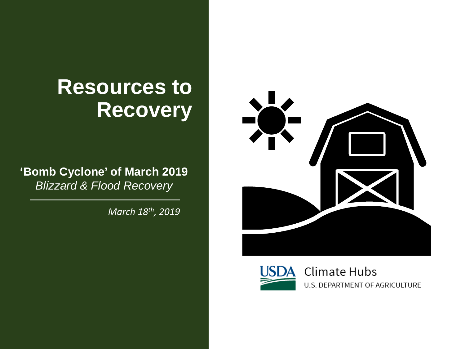# **Resources to Recovery**

**'Bomb Cyclone' of March 2019** *Blizzard & Flood Recovery*

*March 18th, 2019*



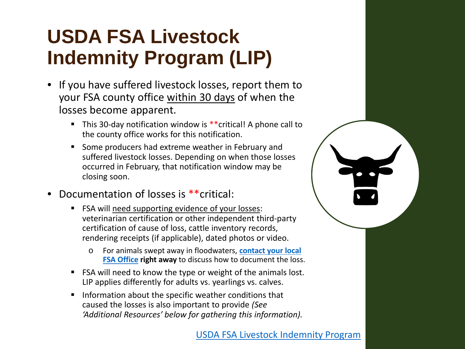# **USDA FSA Livestock Indemnity Program (LIP)**

- If you have suffered livestock losses, report them to your FSA county office within 30 days of when the losses become apparent.
	- This 30-day notification window is \*\*critical! A phone call to the county office works for this notification.
	- Some producers had extreme weather in February and suffered livestock losses. Depending on when those losses occurred in February, that notification window may be closing soon.
- Documentation of losses is \*\*critical:
	- **FICA** will need supporting evidence of your losses: veterinarian certification or other independent third-party certification of cause of loss, cattle inventory records, rendering receipts (if applicable), dated photos or video.
		- o [For animals swept away in floodwaters,](https://offices.sc.egov.usda.gov/locator/app?state=us&agency=fsa) **contact your local FSA Office right away** to discuss how to document the loss.
	- FSA will need to know the type or weight of the animals lost. LIP applies differently for adults vs. yearlings vs. calves.
	- **Information about the specific weather conditions that** caused the losses is also important to provide *(See 'Additional Resources' below for gathering this information).*

#### [USDA FSA Livestock Indemnity Program](https://www.fsa.usda.gov/programs-and-services/disaster-assistance-program/livestock-indemnity/index)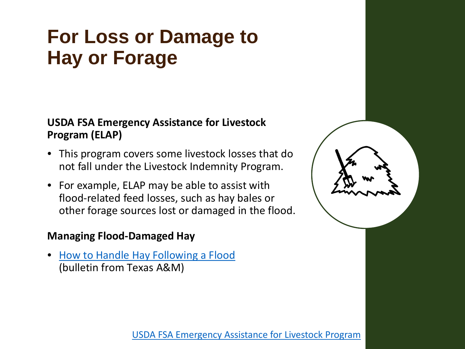## **For Loss or Damage to Hay or Forage**

### **USDA FSA Emergency Assistance for Livestock Program (ELAP)**

- This program covers some livestock losses that do not fall under the Livestock Indemnity Program.
- For example, ELAP may be able to assist with flood-related feed losses, such as hay bales or other forage sources lost or damaged in the flood.

### **Managing Flood-Damaged Hay**

• [How to Handle Hay Following a Flood](http://forages.tamu.edu/PDF/2017-handling-hay-after-hurricane.pdf) (bulletin from Texas A&M)



[USDA FSA Emergency Assistance for Livestock Program](https://www.fsa.usda.gov/programs-and-services/disaster-assistance-program/emergency-assist-for-livestock-honey-bees-fish/index)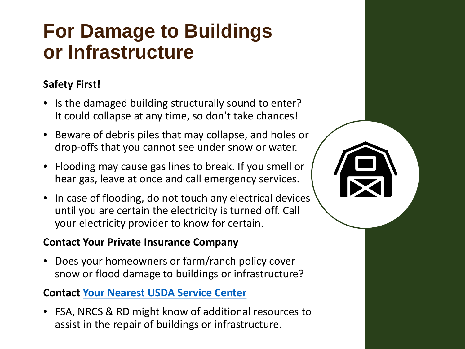## **For Damage to Buildings or Infrastructure**

### **Safety First!**

- Is the damaged building structurally sound to enter? It could collapse at any time, so don't take chances!
- Beware of debris piles that may collapse, and holes or drop-offs that you cannot see under snow or water.
- Flooding may cause gas lines to break. If you smell or hear gas, leave at once and call emergency services.
- In case of flooding, do not touch any electrical devices until you are certain the electricity is turned off. Call your electricity provider to know for certain.

### **Contact Your Private Insurance Company**

• Does your homeowners or farm/ranch policy cover snow or flood damage to buildings or infrastructure?

### **Contact [Your Nearest USDA Service Center](https://offices.sc.egov.usda.gov/locator/app)**

• FSA, NRCS & RD might know of additional resources to assist in the repair of buildings or infrastructure.